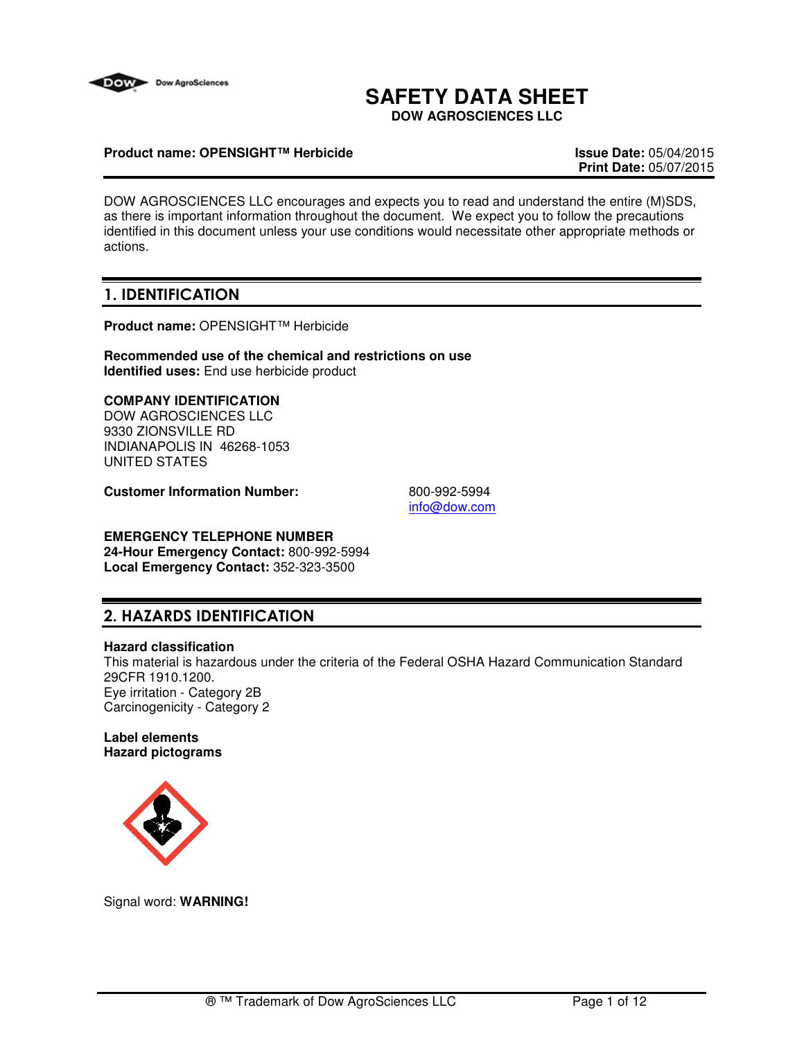

# **SAFETY DATA SHEET**

**DOW AGROSCIENCES LLC**

### **Product name: OPENSIGHT™ Herbicide Issue Date:** 05/04/2015

**Print Date:** 05/07/2015

DOW AGROSCIENCES LLC encourages and expects you to read and understand the entire (M)SDS, as there is important information throughout the document. We expect you to follow the precautions identified in this document unless your use conditions would necessitate other appropriate methods or actions.

## 1. IDENTIFICATION

**Product name:** OPENSIGHT™ Herbicide

**Recommended use of the chemical and restrictions on use Identified uses:** End use herbicide product

## **COMPANY IDENTIFICATION**

DOW AGROSCIENCES LLC 9330 ZIONSVILLE RD INDIANAPOLIS IN 46268-1053 UNITED STATES

**Customer Information Number:** 800-992-5994

info@dow.com

# **EMERGENCY TELEPHONE NUMBER**

**24-Hour Emergency Contact:** 800-992-5994 **Local Emergency Contact:** 352-323-3500

## 2. HAZARDS IDENTIFICATION

#### **Hazard classification**

This material is hazardous under the criteria of the Federal OSHA Hazard Communication Standard 29CFR 1910.1200. Eye irritation - Category 2B Carcinogenicity - Category 2

#### **Label elements Hazard pictograms**



Signal word: **WARNING!**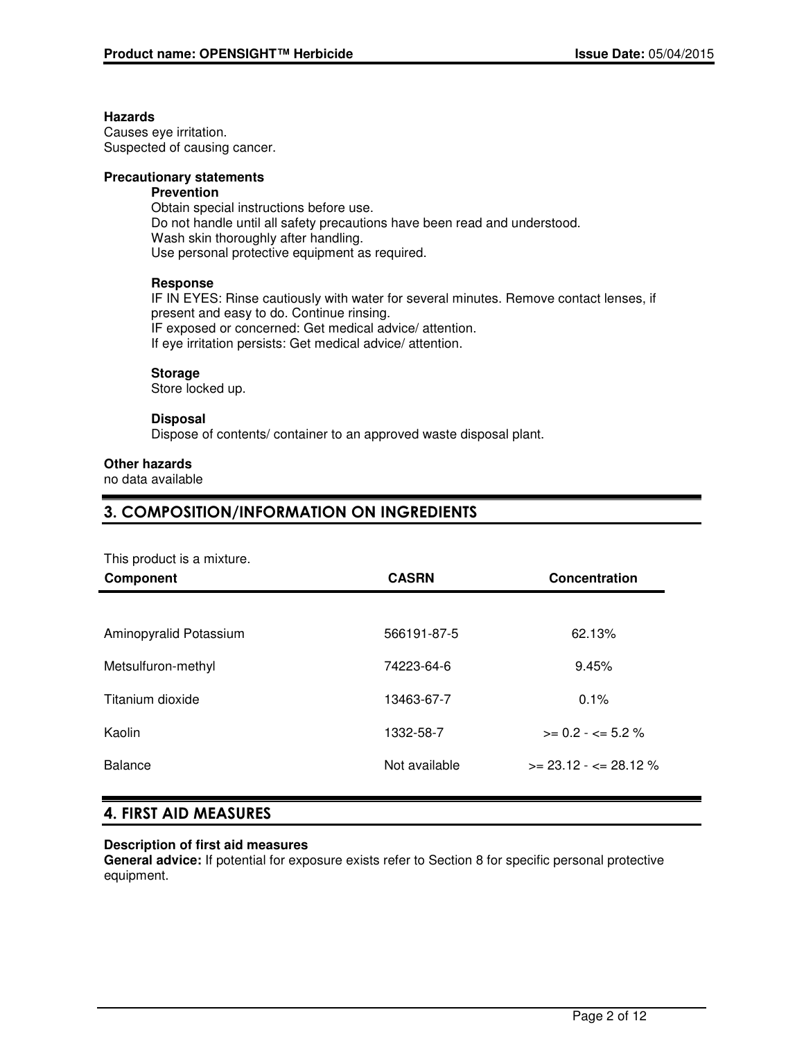#### **Hazards**

Causes eye irritation. Suspected of causing cancer.

### **Precautionary statements**

## **Prevention**

Obtain special instructions before use. Do not handle until all safety precautions have been read and understood. Wash skin thoroughly after handling. Use personal protective equipment as required.

### **Response**

IF IN EYES: Rinse cautiously with water for several minutes. Remove contact lenses, if present and easy to do. Continue rinsing. IF exposed or concerned: Get medical advice/ attention. If eye irritation persists: Get medical advice/ attention.

#### **Storage**

Store locked up.

#### **Disposal**

Dispose of contents/ container to an approved waste disposal plant.

### **Other hazards**

no data available

## 3. COMPOSITION/INFORMATION ON INGREDIENTS

This product is a mixture.

| <b>Component</b>       | <b>CASRN</b>  | Concentration            |
|------------------------|---------------|--------------------------|
|                        |               |                          |
| Aminopyralid Potassium | 566191-87-5   | 62.13%                   |
| Metsulfuron-methyl     | 74223-64-6    | 9.45%                    |
| Titanium dioxide       | 13463-67-7    | $0.1\%$                  |
| Kaolin                 | 1332-58-7     | $>= 0.2 - \le 5.2 \%$    |
| <b>Balance</b>         | Not available | $>= 23.12 - 5 = 28.12$ % |
|                        |               |                          |

## 4. FIRST AID MEASURES

#### **Description of first aid measures**

**General advice:** If potential for exposure exists refer to Section 8 for specific personal protective equipment.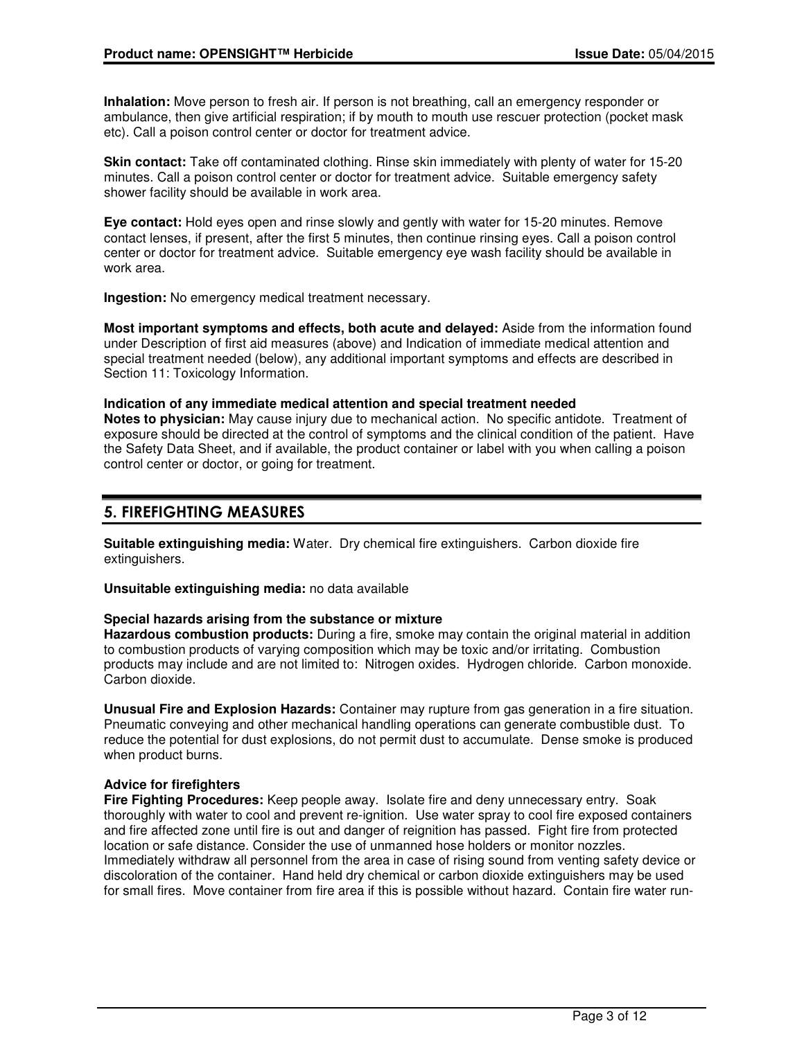**Inhalation:** Move person to fresh air. If person is not breathing, call an emergency responder or ambulance, then give artificial respiration; if by mouth to mouth use rescuer protection (pocket mask etc). Call a poison control center or doctor for treatment advice.

**Skin contact:** Take off contaminated clothing. Rinse skin immediately with plenty of water for 15-20 minutes. Call a poison control center or doctor for treatment advice. Suitable emergency safety shower facility should be available in work area.

**Eye contact:** Hold eyes open and rinse slowly and gently with water for 15-20 minutes. Remove contact lenses, if present, after the first 5 minutes, then continue rinsing eyes. Call a poison control center or doctor for treatment advice. Suitable emergency eye wash facility should be available in work area.

**Ingestion:** No emergency medical treatment necessary.

**Most important symptoms and effects, both acute and delayed:** Aside from the information found under Description of first aid measures (above) and Indication of immediate medical attention and special treatment needed (below), any additional important symptoms and effects are described in Section 11: Toxicology Information.

**Indication of any immediate medical attention and special treatment needed Notes to physician:** May cause injury due to mechanical action. No specific antidote. Treatment of exposure should be directed at the control of symptoms and the clinical condition of the patient. Have the Safety Data Sheet, and if available, the product container or label with you when calling a poison control center or doctor, or going for treatment.

## 5. FIREFIGHTING MEASURES

**Suitable extinguishing media:** Water. Dry chemical fire extinguishers. Carbon dioxide fire extinguishers.

**Unsuitable extinguishing media:** no data available

#### **Special hazards arising from the substance or mixture**

**Hazardous combustion products:** During a fire, smoke may contain the original material in addition to combustion products of varying composition which may be toxic and/or irritating. Combustion products may include and are not limited to: Nitrogen oxides. Hydrogen chloride. Carbon monoxide. Carbon dioxide.

**Unusual Fire and Explosion Hazards:** Container may rupture from gas generation in a fire situation. Pneumatic conveying and other mechanical handling operations can generate combustible dust. To reduce the potential for dust explosions, do not permit dust to accumulate. Dense smoke is produced when product burns.

#### **Advice for firefighters**

**Fire Fighting Procedures:** Keep people away. Isolate fire and deny unnecessary entry. Soak thoroughly with water to cool and prevent re-ignition. Use water spray to cool fire exposed containers and fire affected zone until fire is out and danger of reignition has passed. Fight fire from protected location or safe distance. Consider the use of unmanned hose holders or monitor nozzles. Immediately withdraw all personnel from the area in case of rising sound from venting safety device or discoloration of the container. Hand held dry chemical or carbon dioxide extinguishers may be used for small fires. Move container from fire area if this is possible without hazard. Contain fire water run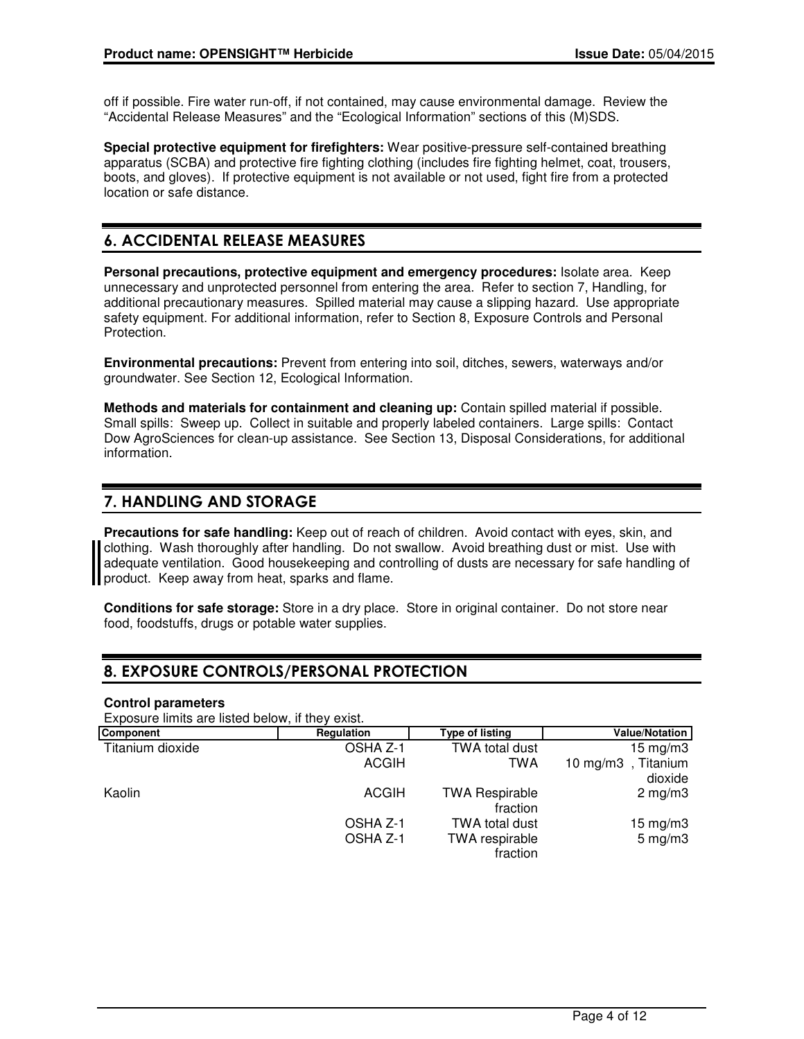off if possible. Fire water run-off, if not contained, may cause environmental damage. Review the "Accidental Release Measures" and the "Ecological Information" sections of this (M)SDS.

**Special protective equipment for firefighters:** Wear positive-pressure self-contained breathing apparatus (SCBA) and protective fire fighting clothing (includes fire fighting helmet, coat, trousers, boots, and gloves). If protective equipment is not available or not used, fight fire from a protected location or safe distance.

## 6. ACCIDENTAL RELEASE MEASURES

**Personal precautions, protective equipment and emergency procedures:** Isolate area. Keep unnecessary and unprotected personnel from entering the area. Refer to section 7, Handling, for additional precautionary measures. Spilled material may cause a slipping hazard. Use appropriate safety equipment. For additional information, refer to Section 8, Exposure Controls and Personal Protection.

**Environmental precautions:** Prevent from entering into soil, ditches, sewers, waterways and/or groundwater. See Section 12, Ecological Information.

**Methods and materials for containment and cleaning up:** Contain spilled material if possible. Small spills: Sweep up. Collect in suitable and properly labeled containers. Large spills: Contact Dow AgroSciences for clean-up assistance. See Section 13, Disposal Considerations, for additional information.

## 7. HANDLING AND STORAGE

**Precautions for safe handling:** Keep out of reach of children. Avoid contact with eyes, skin, and clothing. Wash thoroughly after handling. Do not swallow. Avoid breathing dust or mist. Use with adequate ventilation. Good housekeeping and controlling of dusts are necessary for safe handling of **II** product. Keep away from heat, sparks and flame.

**Conditions for safe storage:** Store in a dry place. Store in original container. Do not store near food, foodstuffs, drugs or potable water supplies.

## 8. EXPOSURE CONTROLS/PERSONAL PROTECTION

#### **Control parameters**

Exposure limits are listed below, if they exist.

| Component        | Regulation   | Type of listing       | <b>Value/Notation</b> |
|------------------|--------------|-----------------------|-----------------------|
| Titanium dioxide | OSHA Z-1     | TWA total dust        | $15 \text{ mg/m}$     |
|                  | <b>ACGIH</b> | TWA                   | 10 mg/m3, Titanium    |
|                  |              |                       | dioxide               |
| Kaolin           | <b>ACGIH</b> | <b>TWA Respirable</b> | $2 \text{ mg/m}$      |
|                  |              | fraction              |                       |
|                  | OSHA Z-1     | <b>TWA total dust</b> | $15 \text{ mg/m}$     |
|                  | OSHA Z-1     | <b>TWA</b> respirable | $5 \text{ mg/m}$ 3    |
|                  |              | fraction              |                       |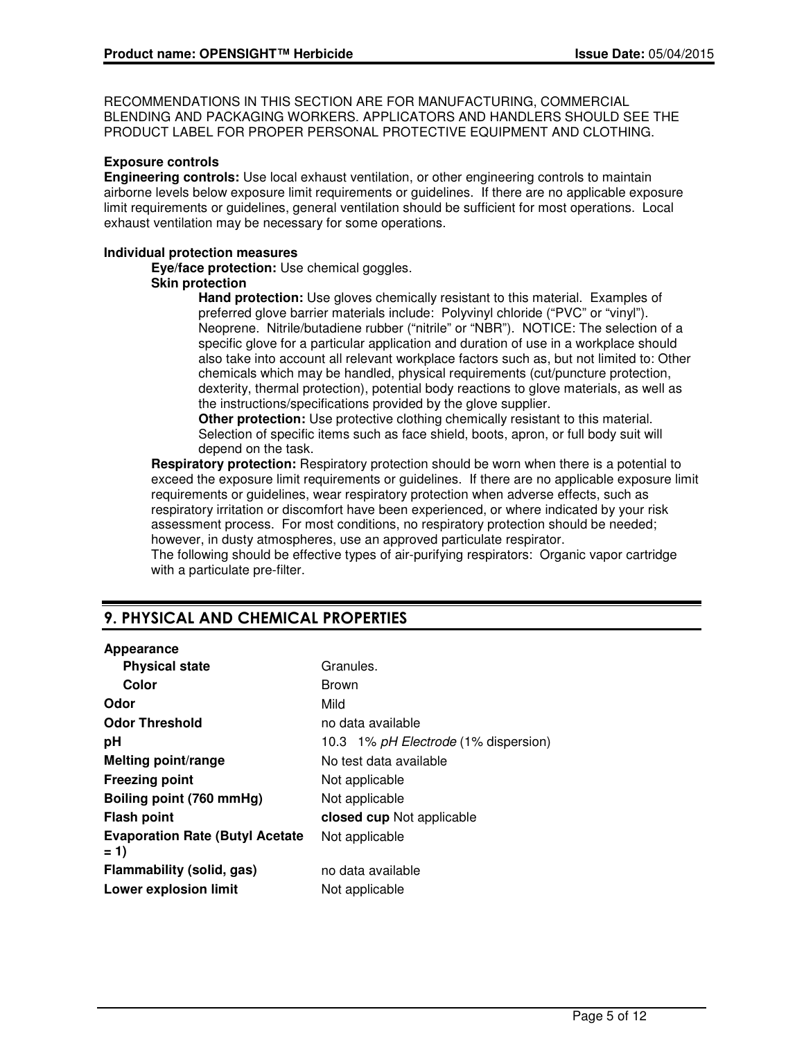RECOMMENDATIONS IN THIS SECTION ARE FOR MANUFACTURING, COMMERCIAL BLENDING AND PACKAGING WORKERS. APPLICATORS AND HANDLERS SHOULD SEE THE PRODUCT LABEL FOR PROPER PERSONAL PROTECTIVE EQUIPMENT AND CLOTHING.

#### **Exposure controls**

**Engineering controls:** Use local exhaust ventilation, or other engineering controls to maintain airborne levels below exposure limit requirements or guidelines. If there are no applicable exposure limit requirements or guidelines, general ventilation should be sufficient for most operations. Local exhaust ventilation may be necessary for some operations.

#### **Individual protection measures**

**Eye/face protection:** Use chemical goggles.

#### **Skin protection**

**Hand protection:** Use gloves chemically resistant to this material. Examples of preferred glove barrier materials include: Polyvinyl chloride ("PVC" or "vinyl"). Neoprene. Nitrile/butadiene rubber ("nitrile" or "NBR"). NOTICE: The selection of a specific glove for a particular application and duration of use in a workplace should also take into account all relevant workplace factors such as, but not limited to: Other chemicals which may be handled, physical requirements (cut/puncture protection, dexterity, thermal protection), potential body reactions to glove materials, as well as the instructions/specifications provided by the glove supplier.

**Other protection:** Use protective clothing chemically resistant to this material. Selection of specific items such as face shield, boots, apron, or full body suit will depend on the task.

**Respiratory protection:** Respiratory protection should be worn when there is a potential to exceed the exposure limit requirements or guidelines. If there are no applicable exposure limit requirements or guidelines, wear respiratory protection when adverse effects, such as respiratory irritation or discomfort have been experienced, or where indicated by your risk assessment process. For most conditions, no respiratory protection should be needed; however, in dusty atmospheres, use an approved particulate respirator. The following should be effective types of air-purifying respirators: Organic vapor cartridge

with a particulate pre-filter.

## 9. PHYSICAL AND CHEMICAL PROPERTIES

#### **Appearance**

| <b>Physical state</b>                            | Granules.                            |  |
|--------------------------------------------------|--------------------------------------|--|
| Color                                            | <b>Brown</b>                         |  |
| Odor                                             | Mild                                 |  |
| <b>Odor Threshold</b>                            | no data available                    |  |
| рH                                               | 10.3 1% pH Electrode (1% dispersion) |  |
| Melting point/range                              | No test data available               |  |
| <b>Freezing point</b>                            | Not applicable                       |  |
| Boiling point (760 mmHg)                         | Not applicable                       |  |
| <b>Flash point</b>                               | closed cup Not applicable            |  |
| <b>Evaporation Rate (Butyl Acetate)</b><br>$= 1$ | Not applicable                       |  |
| Flammability (solid, gas)                        | no data available                    |  |
| <b>Lower explosion limit</b>                     | Not applicable                       |  |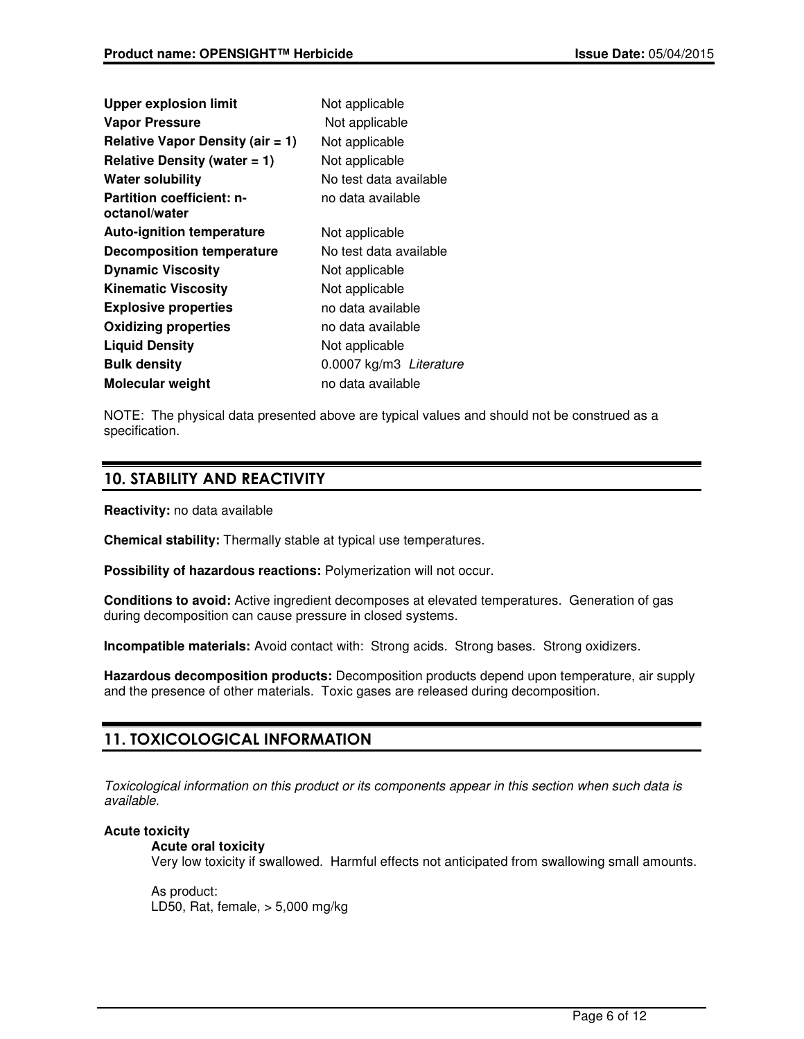| <b>Upper explosion limit</b>                      | Not applicable          |  |
|---------------------------------------------------|-------------------------|--|
| <b>Vapor Pressure</b>                             | Not applicable          |  |
| Relative Vapor Density (air $= 1$ )               | Not applicable          |  |
| Relative Density (water $= 1$ )                   | Not applicable          |  |
| <b>Water solubility</b>                           | No test data available  |  |
| <b>Partition coefficient: n-</b><br>octanol/water | no data available       |  |
| <b>Auto-ignition temperature</b>                  | Not applicable          |  |
| <b>Decomposition temperature</b>                  | No test data available  |  |
| <b>Dynamic Viscosity</b>                          | Not applicable          |  |
| <b>Kinematic Viscosity</b>                        | Not applicable          |  |
| <b>Explosive properties</b>                       | no data available       |  |
| <b>Oxidizing properties</b>                       | no data available       |  |
| <b>Liquid Density</b>                             | Not applicable          |  |
| <b>Bulk density</b>                               | 0.0007 kg/m3 Literature |  |
| <b>Molecular weight</b>                           | no data available       |  |

NOTE: The physical data presented above are typical values and should not be construed as a specification.

## 10. STABILITY AND REACTIVITY

**Reactivity:** no data available

**Chemical stability:** Thermally stable at typical use temperatures.

**Possibility of hazardous reactions:** Polymerization will not occur.

**Conditions to avoid:** Active ingredient decomposes at elevated temperatures. Generation of gas during decomposition can cause pressure in closed systems.

**Incompatible materials:** Avoid contact with: Strong acids. Strong bases. Strong oxidizers.

**Hazardous decomposition products:** Decomposition products depend upon temperature, air supply and the presence of other materials. Toxic gases are released during decomposition.

## 11. TOXICOLOGICAL INFORMATION

Toxicological information on this product or its components appear in this section when such data is available.

## **Acute toxicity**

**Acute oral toxicity**

Very low toxicity if swallowed. Harmful effects not anticipated from swallowing small amounts.

As product: LD50, Rat, female, > 5,000 mg/kg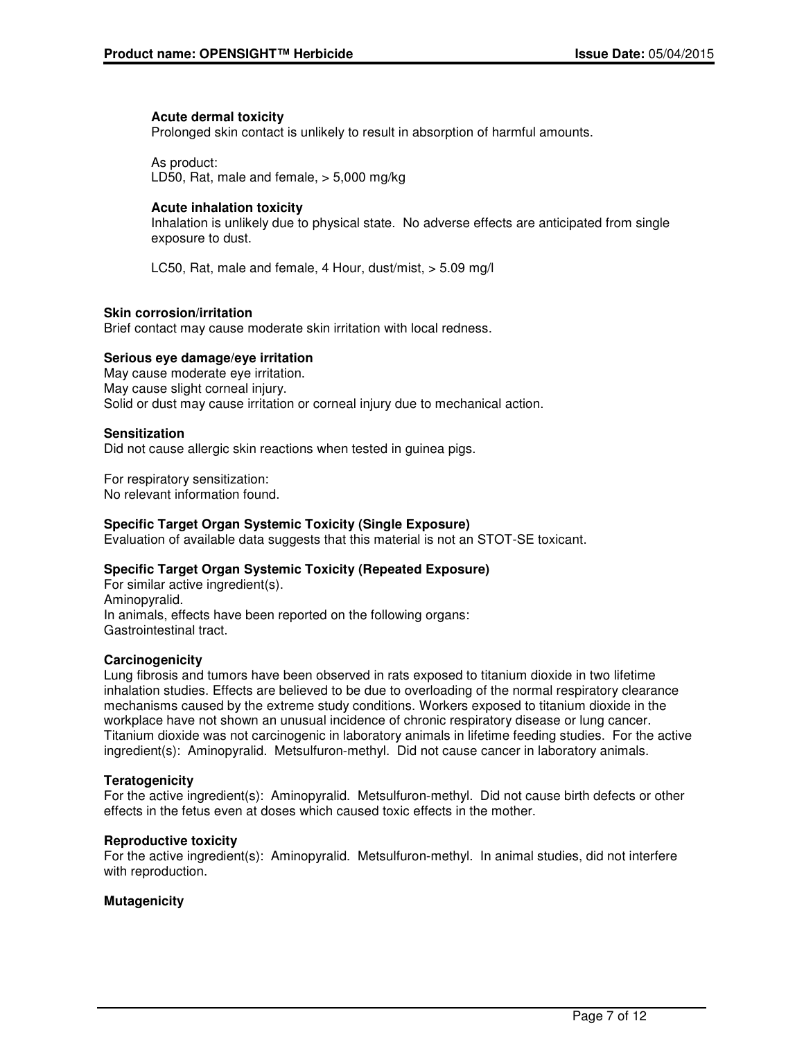#### **Acute dermal toxicity**

Prolonged skin contact is unlikely to result in absorption of harmful amounts.

As product: LD50, Rat, male and female, > 5,000 mg/kg

### **Acute inhalation toxicity**

Inhalation is unlikely due to physical state. No adverse effects are anticipated from single exposure to dust.

LC50, Rat, male and female, 4 Hour, dust/mist, > 5.09 mg/l

### **Skin corrosion/irritation**

Brief contact may cause moderate skin irritation with local redness.

### **Serious eye damage/eye irritation**

May cause moderate eye irritation. May cause slight corneal injury. Solid or dust may cause irritation or corneal injury due to mechanical action.

### **Sensitization**

Did not cause allergic skin reactions when tested in guinea pigs.

For respiratory sensitization: No relevant information found.

## **Specific Target Organ Systemic Toxicity (Single Exposure)**

Evaluation of available data suggests that this material is not an STOT-SE toxicant.

#### **Specific Target Organ Systemic Toxicity (Repeated Exposure)**

For similar active ingredient(s). Aminopyralid. In animals, effects have been reported on the following organs: Gastrointestinal tract.

#### **Carcinogenicity**

Lung fibrosis and tumors have been observed in rats exposed to titanium dioxide in two lifetime inhalation studies. Effects are believed to be due to overloading of the normal respiratory clearance mechanisms caused by the extreme study conditions. Workers exposed to titanium dioxide in the workplace have not shown an unusual incidence of chronic respiratory disease or lung cancer. Titanium dioxide was not carcinogenic in laboratory animals in lifetime feeding studies. For the active ingredient(s): Aminopyralid. Metsulfuron-methyl. Did not cause cancer in laboratory animals.

#### **Teratogenicity**

For the active ingredient(s): Aminopyralid. Metsulfuron-methyl. Did not cause birth defects or other effects in the fetus even at doses which caused toxic effects in the mother.

#### **Reproductive toxicity**

For the active ingredient(s): Aminopyralid. Metsulfuron-methyl. In animal studies, did not interfere with reproduction.

## **Mutagenicity**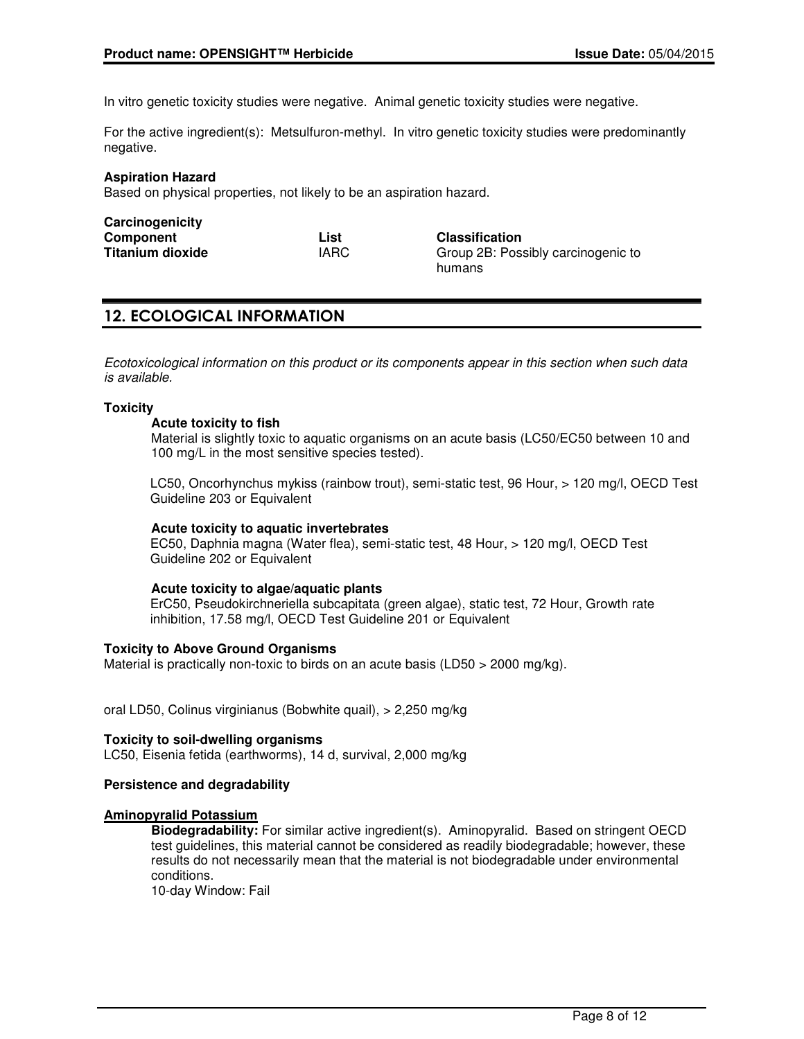In vitro genetic toxicity studies were negative. Animal genetic toxicity studies were negative.

For the active ingredient(s): Metsulfuron-methyl. In vitro genetic toxicity studies were predominantly negative.

#### **Aspiration Hazard**

Based on physical properties, not likely to be an aspiration hazard.

| Carcinogenicity         |      |                                    |
|-------------------------|------|------------------------------------|
| Component               | List | <b>Classification</b>              |
| <b>Titanium dioxide</b> | IARC | Group 2B: Possibly carcinogenic to |
|                         |      | humans                             |

## 12. ECOLOGICAL INFORMATION

Ecotoxicological information on this product or its components appear in this section when such data is available.

#### **Toxicity**

#### **Acute toxicity to fish**

Material is slightly toxic to aquatic organisms on an acute basis (LC50/EC50 between 10 and 100 mg/L in the most sensitive species tested).

LC50, Oncorhynchus mykiss (rainbow trout), semi-static test, 96 Hour, > 120 mg/l, OECD Test Guideline 203 or Equivalent

#### **Acute toxicity to aquatic invertebrates**

EC50, Daphnia magna (Water flea), semi-static test, 48 Hour, > 120 mg/l, OECD Test Guideline 202 or Equivalent

#### **Acute toxicity to algae/aquatic plants**

ErC50, Pseudokirchneriella subcapitata (green algae), static test, 72 Hour, Growth rate inhibition, 17.58 mg/l, OECD Test Guideline 201 or Equivalent

#### **Toxicity to Above Ground Organisms**

Material is practically non-toxic to birds on an acute basis (LD50  $>$  2000 mg/kg).

oral LD50, Colinus virginianus (Bobwhite quail), > 2,250 mg/kg

**Toxicity to soil-dwelling organisms** LC50, Eisenia fetida (earthworms), 14 d, survival, 2,000 mg/kg

#### **Persistence and degradability**

#### **Aminopyralid Potassium**

**Biodegradability:** For similar active ingredient(s). Aminopyralid. Based on stringent OECD test guidelines, this material cannot be considered as readily biodegradable; however, these results do not necessarily mean that the material is not biodegradable under environmental conditions.

10-day Window: Fail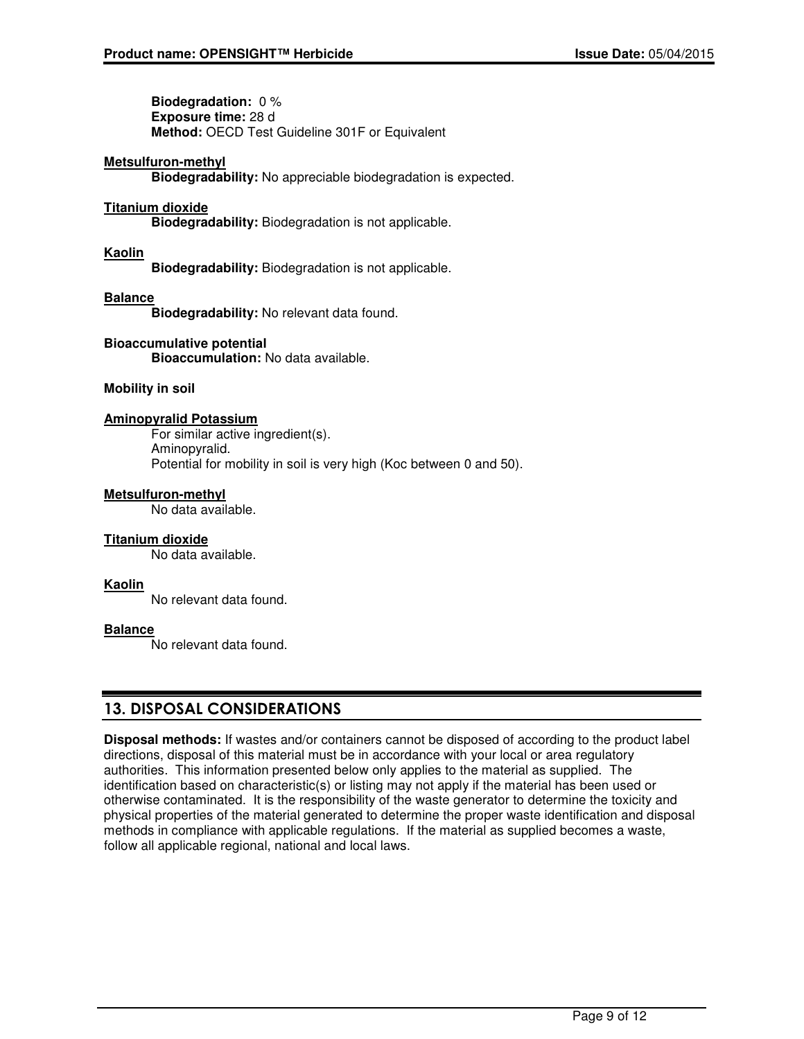**Biodegradation:** 0 % **Exposure time:** 28 d **Method:** OECD Test Guideline 301F or Equivalent

#### **Metsulfuron-methyl**

**Biodegradability:** No appreciable biodegradation is expected.

#### **Titanium dioxide**

**Biodegradability:** Biodegradation is not applicable.

#### **Kaolin**

**Biodegradability:** Biodegradation is not applicable.

#### **Balance**

**Biodegradability:** No relevant data found.

#### **Bioaccumulative potential**

**Bioaccumulation:** No data available.

### **Mobility in soil**

#### **Aminopyralid Potassium**

For similar active ingredient(s). Aminopyralid. Potential for mobility in soil is very high (Koc between 0 and 50).

### **Metsulfuron-methyl**

No data available.

#### **Titanium dioxide**

No data available.

#### **Kaolin**

No relevant data found.

#### **Balance**

No relevant data found.

## 13. DISPOSAL CONSIDERATIONS

**Disposal methods:** If wastes and/or containers cannot be disposed of according to the product label directions, disposal of this material must be in accordance with your local or area regulatory authorities. This information presented below only applies to the material as supplied. The identification based on characteristic(s) or listing may not apply if the material has been used or otherwise contaminated. It is the responsibility of the waste generator to determine the toxicity and physical properties of the material generated to determine the proper waste identification and disposal methods in compliance with applicable regulations. If the material as supplied becomes a waste, follow all applicable regional, national and local laws.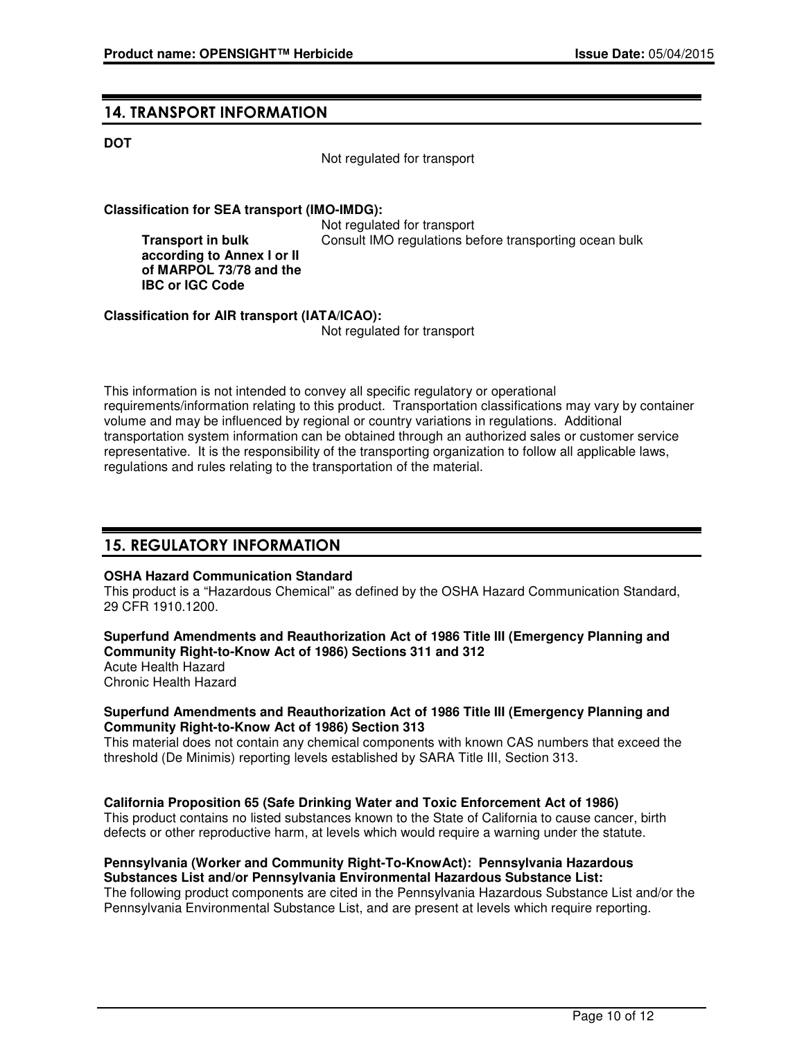## 14. TRANSPORT INFORMATION

### **DOT**

Not regulated for transport

## **Classification for SEA transport (IMO-IMDG):**

**Transport in bulk according to Annex I or II of MARPOL 73/78 and the IBC or IGC Code**

 Not regulated for transport Consult IMO regulations before transporting ocean bulk

**Classification for AIR transport (IATA/ICAO):**

Not regulated for transport

This information is not intended to convey all specific regulatory or operational requirements/information relating to this product. Transportation classifications may vary by container volume and may be influenced by regional or country variations in regulations. Additional transportation system information can be obtained through an authorized sales or customer service representative. It is the responsibility of the transporting organization to follow all applicable laws, regulations and rules relating to the transportation of the material.

## 15. REGULATORY INFORMATION

#### **OSHA Hazard Communication Standard**

This product is a "Hazardous Chemical" as defined by the OSHA Hazard Communication Standard, 29 CFR 1910.1200.

**Superfund Amendments and Reauthorization Act of 1986 Title III (Emergency Planning and Community Right-to-Know Act of 1986) Sections 311 and 312**

Acute Health Hazard

Chronic Health Hazard

### **Superfund Amendments and Reauthorization Act of 1986 Title III (Emergency Planning and Community Right-to-Know Act of 1986) Section 313**

This material does not contain any chemical components with known CAS numbers that exceed the threshold (De Minimis) reporting levels established by SARA Title III, Section 313.

#### **California Proposition 65 (Safe Drinking Water and Toxic Enforcement Act of 1986)**

This product contains no listed substances known to the State of California to cause cancer, birth defects or other reproductive harm, at levels which would require a warning under the statute.

#### **Pennsylvania (Worker and Community Right-To-KnowAct): Pennsylvania Hazardous Substances List and/or Pennsylvania Environmental Hazardous Substance List:**

The following product components are cited in the Pennsylvania Hazardous Substance List and/or the Pennsylvania Environmental Substance List, and are present at levels which require reporting.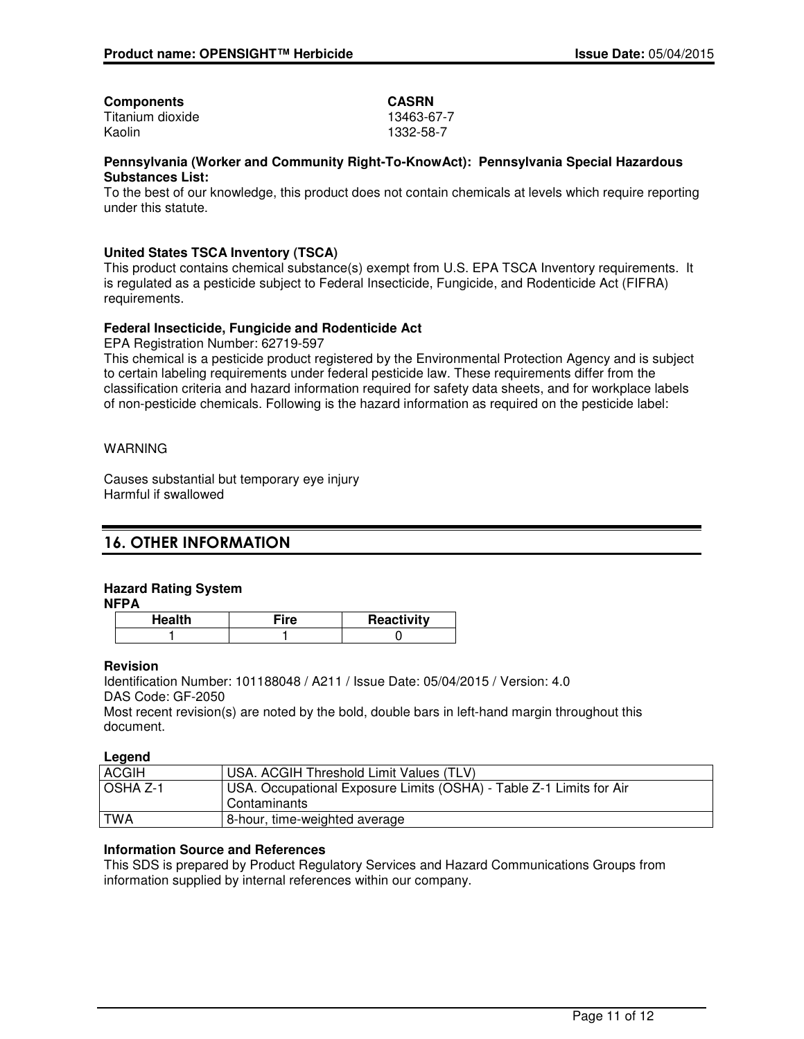| <b>CASRN</b> |
|--------------|
| 13463-67-7   |
| 1332-58-7    |
|              |

#### **Pennsylvania (Worker and Community Right-To-KnowAct): Pennsylvania Special Hazardous Substances List:**

To the best of our knowledge, this product does not contain chemicals at levels which require reporting under this statute.

## **United States TSCA Inventory (TSCA)**

This product contains chemical substance(s) exempt from U.S. EPA TSCA Inventory requirements. It is regulated as a pesticide subject to Federal Insecticide, Fungicide, and Rodenticide Act (FIFRA) requirements.

### **Federal Insecticide, Fungicide and Rodenticide Act**

EPA Registration Number: 62719-597

This chemical is a pesticide product registered by the Environmental Protection Agency and is subject to certain labeling requirements under federal pesticide law. These requirements differ from the classification criteria and hazard information required for safety data sheets, and for workplace labels of non-pesticide chemicals. Following is the hazard information as required on the pesticide label:

## WARNING

Causes substantial but temporary eye injury Harmful if swallowed

## 16. OTHER INFORMATION

## **Hazard Rating System**

**NFPA**

| <b>Health</b> | ™ire | Reactivity |
|---------------|------|------------|
|               |      |            |

#### **Revision**

Identification Number: 101188048 / A211 / Issue Date: 05/04/2015 / Version: 4.0 DAS Code: GF-2050

Most recent revision(s) are noted by the bold, double bars in left-hand margin throughout this document.

**Legend**

| <b>ACGIH</b>    | USA. ACGIH Threshold Limit Values (TLV)                             |
|-----------------|---------------------------------------------------------------------|
| <b>OSHA Z-1</b> | USA. Occupational Exposure Limits (OSHA) - Table Z-1 Limits for Air |
|                 | Contaminants                                                        |
| <b>TWA</b>      | 8-hour, time-weighted average                                       |

#### **Information Source and References**

This SDS is prepared by Product Regulatory Services and Hazard Communications Groups from information supplied by internal references within our company.